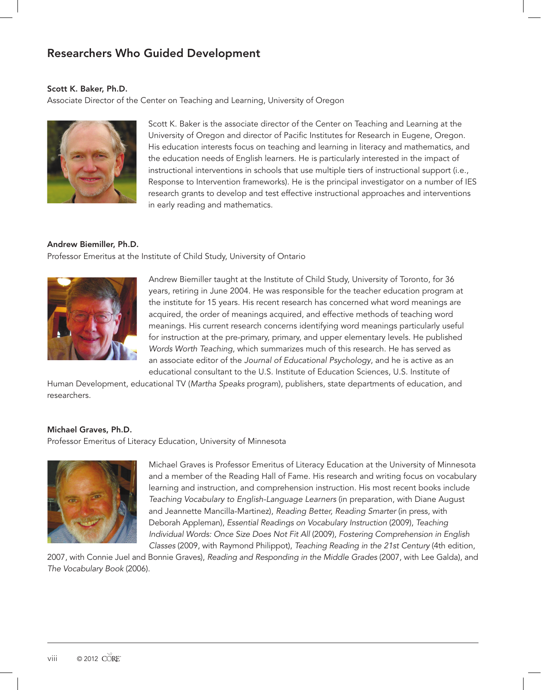## Researchers Who Guided Development

## Scott K. Baker, Ph.D.

Associate Director of the Center on Teaching and Learning, University of Oregon



Scott K. Baker is the associate director of the Center on Teaching and Learning at the University of Oregon and director of Pacific Institutes for Research in Eugene, Oregon. His education interests focus on teaching and learning in literacy and mathematics, and the education needs of English learners. He is particularly interested in the impact of instructional interventions in schools that use multiple tiers of instructional support (i.e., Response to Intervention frameworks). He is the principal investigator on a number of IES research grants to develop and test effective instructional approaches and interventions in early reading and mathematics.

## Andrew Biemiller, Ph.D.

Professor Emeritus at the Institute of Child Study, University of Ontario



Andrew Biemiller taught at the Institute of Child Study, University of Toronto, for 36 years, retiring in June 2004. He was responsible for the teacher education program at the institute for 15 years. His recent research has concerned what word meanings are acquired, the order of meanings acquired, and effective methods of teaching word meanings. His current research concerns identifying word meanings particularly useful for instruction at the pre-primary, primary, and upper elementary levels. He published *Words Worth Teaching*, which summarizes much of this research. He has served as an associate editor of the *Journal of Educational Psychology*, and he is active as an educational consultant to the U.S. Institute of Education Sciences, U.S. Institute of

Human Development, educational TV (*Martha Speaks* program), publishers, state departments of education, and researchers.

## Michael Graves, Ph.D.

Professor Emeritus of Literacy Education, University of Minnesota



Michael Graves is Professor Emeritus of Literacy Education at the University of Minnesota and a member of the Reading Hall of Fame. His research and writing focus on vocabulary learning and instruction, and comprehension instruction. His most recent books include *Teaching Vocabulary to English-Language Learners* (in preparation, with Diane August and Jeannette Mancilla-Martinez), *Reading Better, Reading Smarter* (in press, with Deborah Appleman), *Essential Readings on Vocabulary Instruction* (2009), *Teaching Individual Words: Once Size Does Not Fit All* (2009), *Fostering Comprehension in English Classes* (2009, with Raymond Philippot), *Teaching Reading in the 21st Century* (4th edition,

2007, with Connie Juel and Bonnie Graves), *Reading and Responding in the Middle Grades* (2007, with Lee Galda), and *The Vocabulary Book* (2006).